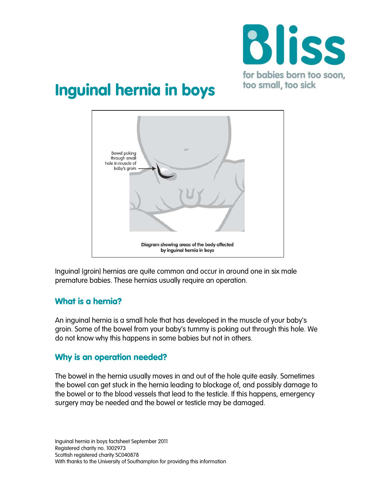

# Inguinal hernia in boys



Inguinal (groin) hernias are quite common and occur in around one in six male premature babies. These hernias usually require an operation.

#### What is a hernia?

An inguinal hernia is a small hole that has developed in the muscle of your baby's groin. Some of the bowel from your baby's tummy is poking out through this hole. We do not know why this happens in some babies but not in others.

#### Why is an operation needed?

The bowel in the hernia usually moves in and out of the hole quite easily. Sometimes the bowel can get stuck in the hernia leading to blockage of, and possibly damage to the bowel or to the blood vessels that lead to the testicle. If this happens, emergency surgery may be needed and the bowel or testicle may be damaged.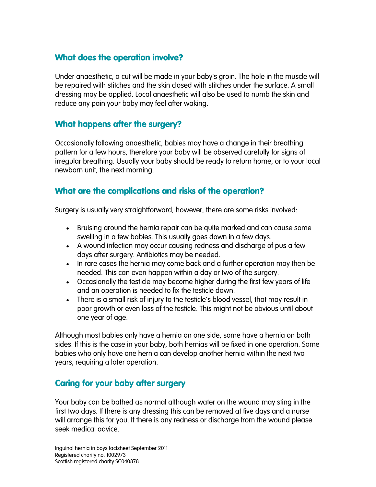#### What does the operation involve?

Under anaesthetic, a cut will be made in your baby's groin. The hole in the muscle will be repaired with stitches and the skin closed with stitches under the surface. A small dressing may be applied. Local anaesthetic will also be used to numb the skin and reduce any pain your baby may feel after waking.

#### What happens after the surgery?

Occasionally following anaesthetic, babies may have a change in their breathing pattern for a few hours, therefore your baby will be observed carefully for signs of irregular breathing. Usually your baby should be ready to return home, or to your local newborn unit, the next morning.

#### What are the complications and risks of the operation?

Surgery is usually very straightforward, however, there are some risks involved:

- Bruising around the hernia repair can be quite marked and can cause some swelling in a few babies. This usually goes down in a few days.
- A wound infection may occur causing redness and discharge of pus a few days after surgery. Antibiotics may be needed.
- In rare cases the hernia may come back and a further operation may then be needed. This can even happen within a day or two of the surgery.
- Occasionally the testicle may become higher during the first few years of life and an operation is needed to fix the testicle down.
- There is a small risk of injury to the testicle's blood vessel, that may result in poor growth or even loss of the testicle. This might not be obvious until about one year of age.

Although most babies only have a hernia on one side, some have a hernia on both sides. If this is the case in your baby, both hernias will be fixed in one operation. Some babies who only have one hernia can develop another hernia within the next two years, requiring a later operation.

## Caring for your baby after surgery

Your baby can be bathed as normal although water on the wound may sting in the first two days. If there is any dressing this can be removed at five days and a nurse will arrange this for you. If there is any redness or discharge from the wound please seek medical advice.